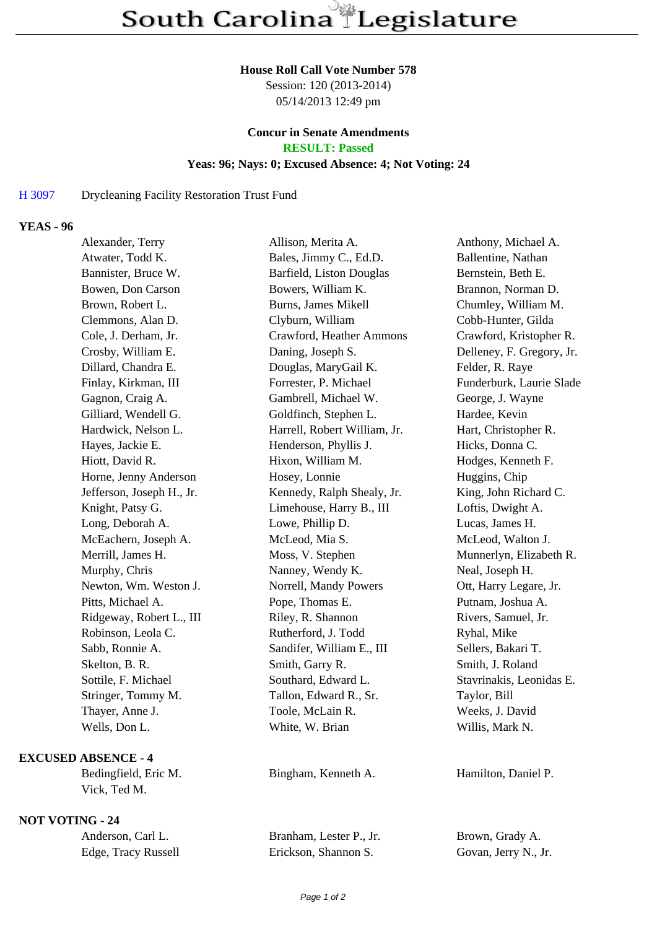#### **House Roll Call Vote Number 578**

Session: 120 (2013-2014) 05/14/2013 12:49 pm

#### **Concur in Senate Amendments RESULT: Passed**

# **Yeas: 96; Nays: 0; Excused Absence: 4; Not Voting: 24**

### H 3097 Drycleaning Facility Restoration Trust Fund

## **YEAS - 96**

| Alexander, Terry          | Allison, Merita A.           | Anthony, Michael A.       |
|---------------------------|------------------------------|---------------------------|
| Atwater, Todd K.          | Bales, Jimmy C., Ed.D.       | Ballentine, Nathan        |
| Bannister, Bruce W.       | Barfield, Liston Douglas     | Bernstein, Beth E.        |
| Bowen, Don Carson         | Bowers, William K.           | Brannon, Norman D.        |
| Brown, Robert L.          | <b>Burns, James Mikell</b>   | Chumley, William M.       |
| Clemmons, Alan D.         | Clyburn, William             | Cobb-Hunter, Gilda        |
| Cole, J. Derham, Jr.      | Crawford, Heather Ammons     | Crawford, Kristopher R.   |
| Crosby, William E.        | Daning, Joseph S.            | Delleney, F. Gregory, Jr. |
| Dillard, Chandra E.       | Douglas, MaryGail K.         | Felder, R. Raye           |
| Finlay, Kirkman, III      | Forrester, P. Michael        | Funderburk, Laurie Slade  |
| Gagnon, Craig A.          | Gambrell, Michael W.         | George, J. Wayne          |
| Gilliard, Wendell G.      | Goldfinch, Stephen L.        | Hardee, Kevin             |
| Hardwick, Nelson L.       | Harrell, Robert William, Jr. | Hart, Christopher R.      |
| Hayes, Jackie E.          | Henderson, Phyllis J.        | Hicks, Donna C.           |
| Hiott, David R.           | Hixon, William M.            | Hodges, Kenneth F.        |
| Horne, Jenny Anderson     | Hosey, Lonnie                | Huggins, Chip             |
| Jefferson, Joseph H., Jr. | Kennedy, Ralph Shealy, Jr.   | King, John Richard C.     |
| Knight, Patsy G.          | Limehouse, Harry B., III     | Loftis, Dwight A.         |
| Long, Deborah A.          | Lowe, Phillip D.             | Lucas, James H.           |
| McEachern, Joseph A.      | McLeod, Mia S.               | McLeod, Walton J.         |
| Merrill, James H.         | Moss, V. Stephen             | Munnerlyn, Elizabeth R.   |
| Murphy, Chris             | Nanney, Wendy K.             | Neal, Joseph H.           |
| Newton, Wm. Weston J.     | Norrell, Mandy Powers        | Ott, Harry Legare, Jr.    |
| Pitts, Michael A.         | Pope, Thomas E.              | Putnam, Joshua A.         |
| Ridgeway, Robert L., III  | Riley, R. Shannon            | Rivers, Samuel, Jr.       |
| Robinson, Leola C.        | Rutherford, J. Todd          | Ryhal, Mike               |
| Sabb, Ronnie A.           | Sandifer, William E., III    | Sellers, Bakari T.        |
| Skelton, B. R.            | Smith, Garry R.              | Smith, J. Roland          |
| Sottile, F. Michael       | Southard, Edward L.          | Stavrinakis, Leonidas E.  |
| Stringer, Tommy M.        | Tallon, Edward R., Sr.       | Taylor, Bill              |
| Thayer, Anne J.           | Toole, McLain R.             | Weeks, J. David           |
| Wells, Don L.             | White, W. Brian              | Willis, Mark N.           |
|                           |                              |                           |

### **EXCUSED ABSENCE - 4**

Bedingfield, Eric M. Bingham, Kenneth A. Hamilton, Daniel P. Vick, Ted M.

# **NOT VOTING - 24**

| Anderson, Carl L.   | Branham, Lester P., Jr. | Brown, Grady A.      |
|---------------------|-------------------------|----------------------|
| Edge, Tracy Russell | Erickson, Shannon S.    | Govan, Jerry N., Jr. |